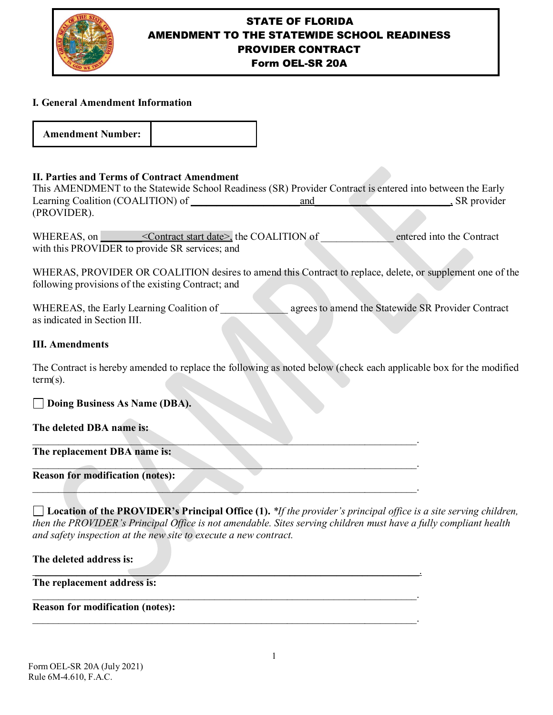

# STATE OF FLORIDA AMENDMENT TO THE STATEWIDE SCHOOL READINESS PROVIDER CONTRACT

Form OEL-SR 20A

### **I. General Amendment Information**

| <b>Amendment Number:</b> |  |
|--------------------------|--|
|--------------------------|--|

### **II. Parties and Terms of Contract Amendment**

This AMENDMENT to the Statewide School Readiness (SR) Provider Contract is entered into between the Early Learning Coalition (COALITION) of and the state of the state of the state of the state of the state of the state of the state of the state of the state of the state of the state of the state of the state of the state of th (PROVIDER).

WHEREAS, on  $\blacksquare$  < Contract start date>, the COALITION of entered into the Contract with this PROVIDER to provide SR services; and

WHERAS, PROVIDER OR COALITION desires to amend this Contract to replace, delete, or supplement one of the following provisions of the existing Contract; and

WHEREAS, the Early Learning Coalition of **Early 2** agrees to amend the Statewide SR Provider Contract as indicated in Section III.

#### **III. Amendments**

The Contract is hereby amended to replace the following as noted below (check each applicable box for the modified term(s).

 $\Box$  . The contract of  $\mathcal{N}$  ,  $\mathcal{N}$  ,  $\mathcal{N}$  ,  $\mathcal{N}$  ,  $\mathcal{N}$  ,  $\mathcal{N}$  ,  $\mathcal{N}$  ,  $\mathcal{N}$  ,  $\mathcal{N}$  ,  $\mathcal{N}$  ,  $\mathcal{N}$  ,  $\mathcal{N}$  ,  $\mathcal{N}$  ,  $\mathcal{N}$  ,  $\mathcal{N}$  ,  $\mathcal{N}$  ,  $\mathcal{N}$  ,  $\mathcal{N}$  ,

 $\mathcal{L}_\mathcal{L} = \mathcal{L}_\mathcal{L} = \mathcal{L}_\mathcal{L} = \mathcal{L}_\mathcal{L} = \mathcal{L}_\mathcal{L} = \mathcal{L}_\mathcal{L} = \mathcal{L}_\mathcal{L} = \mathcal{L}_\mathcal{L} = \mathcal{L}_\mathcal{L} = \mathcal{L}_\mathcal{L} = \mathcal{L}_\mathcal{L} = \mathcal{L}_\mathcal{L} = \mathcal{L}_\mathcal{L} = \mathcal{L}_\mathcal{L} = \mathcal{L}_\mathcal{L} = \mathcal{L}_\mathcal{L} = \mathcal{L}_\mathcal{L}$ 

 $\mathcal{L} = \{ \mathcal{L} \mid \mathcal{L} \in \mathcal{L} \}$ 

\_\_\_\_\_\_\_\_\_\_\_\_\_\_\_\_\_\_\_\_\_\_\_\_\_\_\_\_\_\_\_\_\_\_\_\_\_\_\_\_\_\_\_\_\_\_\_\_\_\_\_\_\_\_\_\_\_\_\_\_\_\_\_\_\_\_\_\_\_\_\_\_\_\_.

\_\_\_\_\_\_\_\_\_\_\_\_\_\_\_\_\_\_\_\_\_\_\_\_\_\_\_\_\_\_\_\_\_\_\_\_\_\_\_\_\_\_\_\_\_\_\_\_\_\_\_\_\_\_\_\_\_\_\_\_\_\_\_\_\_\_\_\_\_\_\_\_\_\_.

\_\_\_\_\_\_\_\_\_\_\_\_\_\_\_\_\_\_\_\_\_\_\_\_\_\_\_\_\_\_\_\_\_\_\_\_\_\_\_\_\_\_\_\_\_\_\_\_\_\_\_\_\_\_\_\_\_\_\_\_\_\_\_\_\_\_\_\_\_\_\_\_\_\_.

#### **Doing Business As Name (DBA).**

**The deleted DBA name is:**

**The replacement DBA name is:** 

## **Reason for modification (notes):**

**Location of the PROVIDER's Principal Office (1).** *\*If the provider's principal office is a site serving children, then the PROVIDER's Principal Office is not amendable. Sites serving children must have a fully compliant health and safety inspection at the new site to execute a new contract.*

**The deleted address is:** 

**The replacement address is:** 

**Reason for modification (notes):**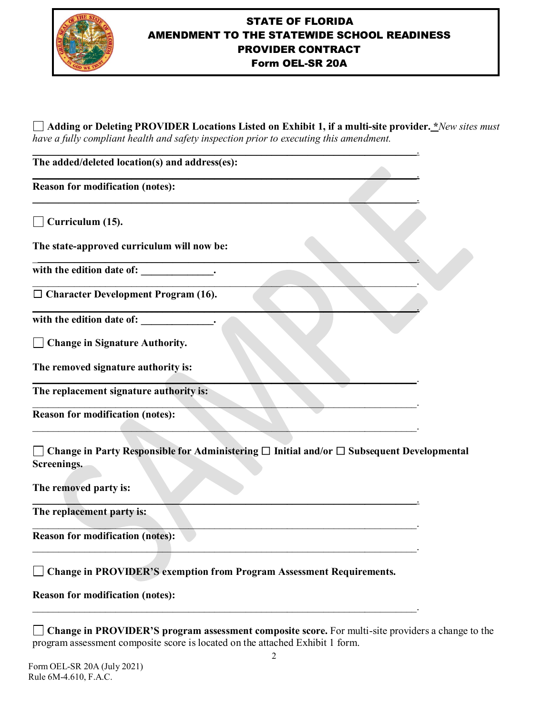

## STATE OF FLORIDA AMENDMENT TO THE STATEWIDE SCHOOL READINESS PROVIDER CONTRACT Form OEL-SR 20A

**Adding or Deleting PROVIDER Locations Listed on Exhibit 1, if a multi-site provider. \****New sites must have a fully compliant health and safety inspection prior to executing this amendment.*

| The added/deleted location(s) and address(es): |  |
|------------------------------------------------|--|
| <b>Reason for modification (notes):</b>        |  |
| Curriculum (15).                               |  |
| The state-approved curriculum will now be:     |  |
| with the edition date of:                      |  |
| $\Box$ Character Development Program (16).     |  |
| with the edition date of:                      |  |
| □ Change in Signature Authority.               |  |
| The removed signature authority is:            |  |
| The replacement signature authority is:        |  |
| <b>Reason for modification (notes):</b>        |  |

**Change in Party Responsible for Administering** ☐ **Initial and/or** ☐ **Subsequent Developmental Screenings.** 

**The removed party is:**

 $\mathcal{L}=\mathcal{L}=\mathcal{L}=\mathcal{L}=\mathcal{L}=\mathcal{L}=\mathcal{L}=\mathcal{L}=\mathcal{L}=\mathcal{L}=\mathcal{L}=\mathcal{L}=\mathcal{L}=\mathcal{L}=\mathcal{L}=\mathcal{L}=\mathcal{L}=\mathcal{L}=\mathcal{L}=\mathcal{L}=\mathcal{L}=\mathcal{L}=\mathcal{L}=\mathcal{L}=\mathcal{L}=\mathcal{L}=\mathcal{L}=\mathcal{L}=\mathcal{L}=\mathcal{L}=\mathcal{L}=\mathcal{L}=\mathcal{L}=\mathcal{L}=\mathcal{L}=\mathcal{L}=\mathcal{$ **The replacement party is:** 

**Reason for modification (notes):** 

**Change in PROVIDER'S exemption from Program Assessment Requirements.**

 $\mathcal{L}_\text{max}$  and  $\mathcal{L}_\text{max}$  and  $\mathcal{L}_\text{max}$  and  $\mathcal{L}_\text{max}$  and  $\mathcal{L}_\text{max}$  and  $\mathcal{L}_\text{max}$ 

\_\_\_\_\_\_\_\_\_\_\_\_\_\_\_\_\_\_\_\_\_\_\_\_\_\_\_\_\_\_\_\_\_\_\_\_\_\_\_\_\_\_\_\_\_\_\_\_\_\_\_\_\_\_\_\_\_\_\_\_\_\_\_\_\_\_\_\_\_\_\_\_\_\_.

 $\mathcal{L}_\text{max} = \mathcal{L}_\text{max} = \mathcal{L}_\text{max} = \mathcal{L}_\text{max} = \mathcal{L}_\text{max} = \mathcal{L}_\text{max} = \mathcal{L}_\text{max} = \mathcal{L}_\text{max} = \mathcal{L}_\text{max} = \mathcal{L}_\text{max} = \mathcal{L}_\text{max} = \mathcal{L}_\text{max} = \mathcal{L}_\text{max} = \mathcal{L}_\text{max} = \mathcal{L}_\text{max} = \mathcal{L}_\text{max} = \mathcal{L}_\text{max} = \mathcal{L}_\text{max} = \mathcal{$ 

|  |  | <b>Reason for modification (notes):</b> |  |
|--|--|-----------------------------------------|--|
|--|--|-----------------------------------------|--|

**Change in PROVIDER'S program assessment composite score.** For multi-site providers a change to the program assessment composite score is located on the attached Exhibit 1 form.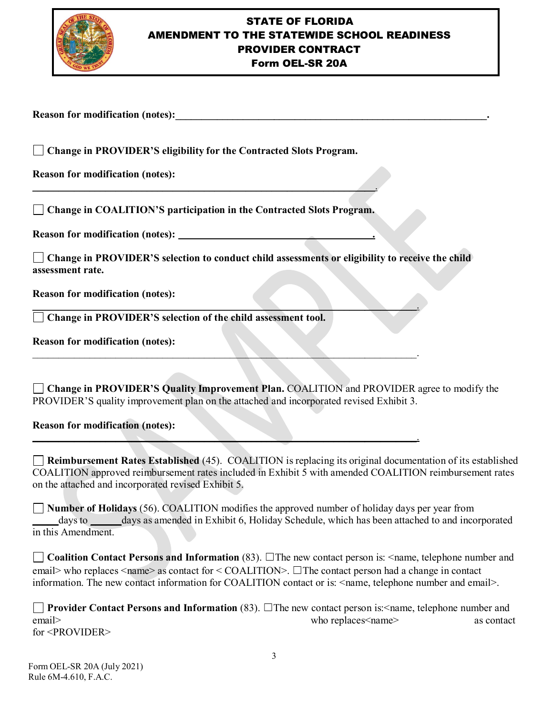

## STATE OF FLORIDA AMENDMENT TO THE STATEWIDE SCHOOL READINESS PROVIDER CONTRACT Form OEL-SR 20A

Reason for modification (notes):

 **Change in PROVIDER'S eligibility for the Contracted Slots Program.** 

**Reason for modification (notes):** 

**Change in COALITION'S participation in the Contracted Slots Program.** 

 $\overline{\phantom{a}}$  ,  $\overline{\phantom{a}}$  ,  $\overline{\phantom{a}}$  ,  $\overline{\phantom{a}}$  ,  $\overline{\phantom{a}}$  ,  $\overline{\phantom{a}}$  ,  $\overline{\phantom{a}}$  ,  $\overline{\phantom{a}}$  ,  $\overline{\phantom{a}}$  ,  $\overline{\phantom{a}}$  ,  $\overline{\phantom{a}}$  ,  $\overline{\phantom{a}}$  ,  $\overline{\phantom{a}}$  ,  $\overline{\phantom{a}}$  ,  $\overline{\phantom{a}}$  ,  $\overline{\phantom{a}}$ 

**Reason for modification (notes):**  $\qquad \qquad$ 

**Change in PROVIDER'S selection to conduct child assessments or eligibility to receive the child assessment rate.** 

\_\_\_\_\_\_\_\_\_\_\_\_\_\_\_\_\_\_\_\_\_\_\_\_\_\_\_\_\_\_\_\_\_\_\_\_\_\_\_\_\_\_\_\_\_\_\_\_\_\_\_\_\_\_\_\_\_\_\_\_\_\_\_\_\_\_\_\_\_\_\_\_\_\_.

 $\Box$ 

\_\_\_\_\_\_\_\_\_\_\_\_\_\_\_\_\_\_\_\_\_\_\_\_\_\_\_\_\_\_\_\_\_\_\_\_\_\_\_\_\_\_\_\_\_\_\_\_\_\_\_\_\_\_\_\_\_\_\_\_\_\_\_\_\_\_\_\_\_\_\_\_\_\_.

**Reason for modification (notes):** 

**Change in PROVIDER'S selection of the child assessment tool.**

**Reason for modification (notes):** 

**Change in PROVIDER'S Quality Improvement Plan.** COALITION and PROVIDER agree to modify the PROVIDER'S quality improvement plan on the attached and incorporated revised Exhibit 3.

**Reason for modification (notes):** 

**Reimbursement Rates Established** (45). COALITION is replacing its original documentation of its established COALITION approved reimbursement rates included in Exhibit 5 with amended COALITION reimbursement rates on the attached and incorporated revised Exhibit 5.

**Number of Holidays** (56). COALITION modifies the approved number of holiday days per year from \_\_\_\_\_days to \_\_\_\_\_\_days as amended in Exhibit 6, Holiday Schedule, which has been attached to and incorporated in this Amendment.

**Coalition Contact Persons and Information** (83). ☐The new contact person is: <name, telephone number and email> who replaces <name> as contact for < COALITION>. □The contact person had a change in contact information. The new contact information for COALITION contact or is: <name, telephone number and email>.

**Provider Contact Persons and Information** (83). □The new contact person is:<name, telephone number and email> as contact the context of the context of the context of the context of the context of the context of the context of the context of the context of the context of the context of the context of the context of the conte for <PROVIDER>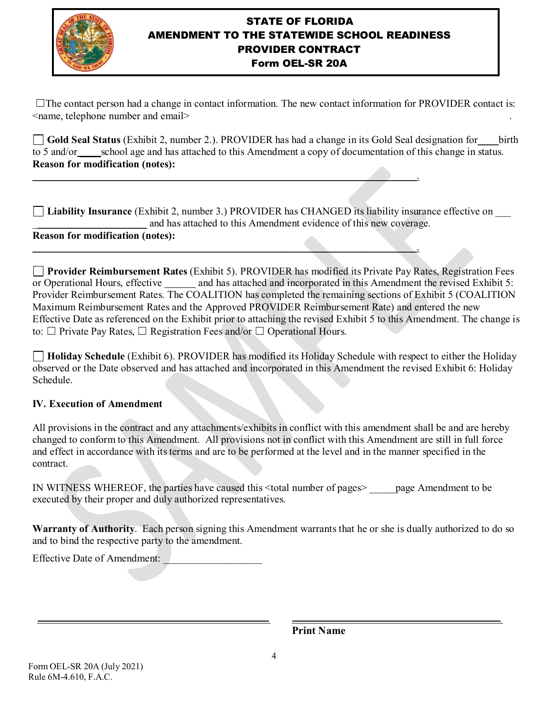

## STATE OF FLORIDA AMENDMENT TO THE STATEWIDE SCHOOL READINESS PROVIDER CONTRACT Form OEL-SR 20A

☐The contact person had a change in contact information. The new contact information for PROVIDER contact is: <name, telephone number and email> .

**Gold Seal Status** (Exhibit 2, number 2.). PROVIDER has had a change in its Gold Seal designation for\_\_\_\_birth to 5 and/or school age and has attached to this Amendment a copy of documentation of this change in status. **Reason for modification (notes):** 

**Liability Insurance** (Exhibit 2, number 3.) PROVIDER has CHANGED its liability insurance effective on \_\_\_ and has attached to this Amendment evidence of this new coverage.

\_\_\_\_\_\_\_\_\_\_\_\_\_\_\_\_\_\_\_\_\_\_\_\_\_\_\_\_\_\_\_\_\_\_\_\_\_\_\_\_\_\_\_\_\_\_\_\_\_\_\_\_\_\_\_\_\_\_\_\_\_\_\_\_\_\_\_\_\_\_\_\_\_\_.

#### **Reason for modification (notes):**   $\mathcal{L}=\{z\in\mathcal{L}^{\mathcal{L}}:z\in\mathcal{L}^{\mathcal{L}}:z\in\mathcal{L}^{\mathcal{L}}:z\in\mathcal{L}^{\mathcal{L}}:z\in\mathcal{L}^{\mathcal{L}}:z\in\mathcal{L}^{\mathcal{L}}\}$

**Provider Reimbursement Rates** (Exhibit 5). PROVIDER has modified its Private Pay Rates, Registration Fees or Operational Hours, effective \_\_\_\_\_\_ and has attached and incorporated in this Amendment the revised Exhibit 5: Provider Reimbursement Rates. The COALITION has completed the remaining sections of Exhibit 5 (COALITION Maximum Reimbursement Rates and the Approved PROVIDER Reimbursement Rate) and entered the new Effective Date as referenced on the Exhibit prior to attaching the revised Exhibit 5 to this Amendment. The change is to:  $\Box$  Private Pay Rates,  $\Box$  Registration Fees and/or  $\Box$  Operational Hours.

**Holiday Schedule** (Exhibit 6). PROVIDER has modified its Holiday Schedule with respect to either the Holiday observed or the Date observed and has attached and incorporated in this Amendment the revised Exhibit 6: Holiday Schedule.

## **IV. Execution of Amendment**

All provisions in the contract and any attachments/exhibits in conflict with this amendment shall be and are hereby changed to conform to this Amendment. All provisions not in conflict with this Amendment are still in full force and effect in accordance with its terms and are to be performed at the level and in the manner specified in the contract.

IN WITNESS WHEREOF, the parties have caused this <total number of pages> \_\_\_\_\_page Amendment to be executed by their proper and duly authorized representatives.

**Warranty of Authority**. Each person signing this Amendment warrants that he or she is dually authorized to do so and to bind the respective party to the amendment.

Effective Date of Amendment:

**Print Name**